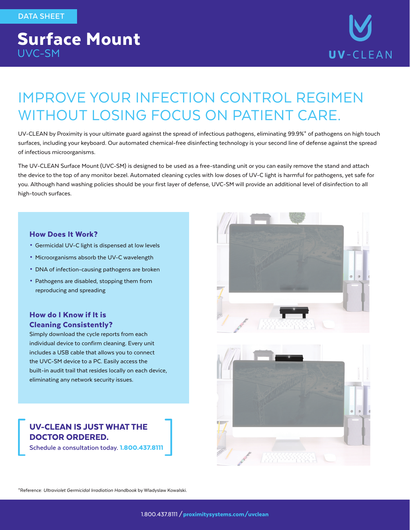# Surface Mount UVC-SM



# IMPROVE YOUR INFECTION CONTROL REGIMEN WITHOUT LOSING FOCUS ON PATIENT CARE.

UV-CLEAN by Proximity is your ultimate guard against the spread of infectious pathogens, eliminating 99.9%\* of pathogens on high touch surfaces, including your keyboard. Our automated chemical-free disinfecting technology is your second line of defense against the spread of infectious microorganisms.

The UV-CLEAN Surface Mount (UVC-SM) is designed to be used as a free-standing unit or you can easily remove the stand and attach the device to the top of any monitor bezel. Automated cleaning cycles with low doses of UV-C light is harmful for pathogens, yet safe for you. Although hand washing policies should be your first layer of defense, UVC-SM will provide an additional level of disinfection to all high-touch surfaces.

#### How Does It Work?

- Germicidal UV-C light is dispensed at low levels
- Microorganisms absorb the UV-C wavelength
- DNA of infection-causing pathogens are broken
- Pathogens are disabled, stopping them from reproducing and spreading

#### How do I Know if It is Cleaning Consistently?

Simply download the cycle reports from each individual device to confirm cleaning. Every unit includes a USB cable that allows you to connect the UVC-SM device to a PC. Easily access the built-in audit trail that resides locally on each device, eliminating any network security issues.

#### UV-CLEAN IS JUST WHAT THE DOCTOR ORDERED.

**Schedule a consultation today.** 1.800.437.8111





\*Reference: *Ultraviolet Germicidal Irradiation Handbook* by Wladyslaw Kowalski.